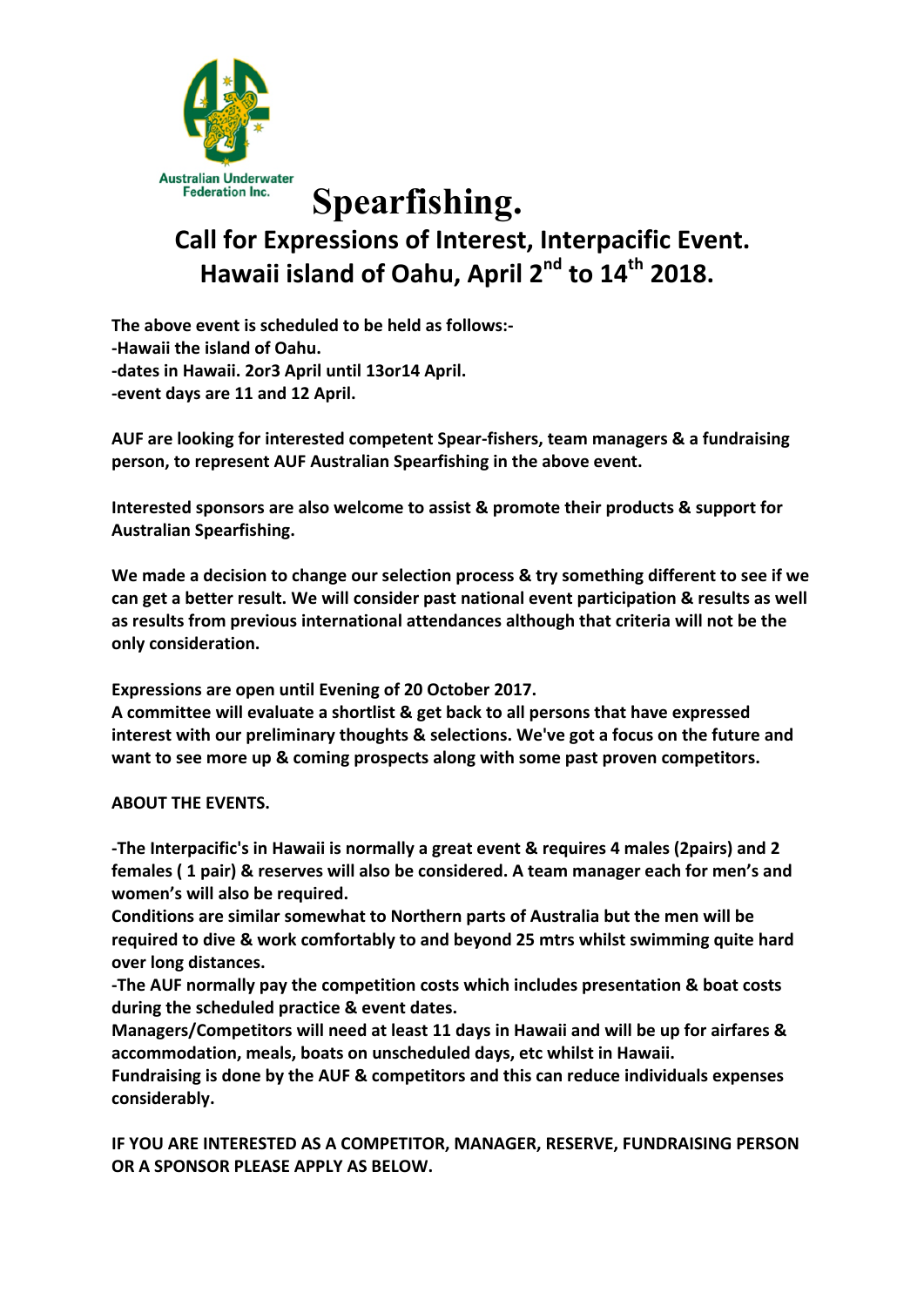

## **Spearfishing. Call for Expressions of Interest, Interpacific Event.** Hawaii island of Oahu, April 2<sup>nd</sup> to 14<sup>th</sup> 2018.

The above event is scheduled to be held as follows:-**-Hawaii the island of Oahu.** -dates in Hawaii. 2or3 April until 13or14 April. -event days are 11 and 12 April.

**AUF are looking for interested competent Spear-fishers, team managers & a fundraising person, to represent AUF Australian Spearfishing in the above event.** 

**Interested sponsors are also welcome to assist & promote their products & support for Australian Spearfishing.**

We made a decision to change our selection process & try something different to see if we can get a better result. We will consider past national event participation & results as well as results from previous international attendances although that criteria will not be the **only consideration.**

**Expressions are open until Evening of 20 October 2017.** 

A committee will evaluate a shortlist & get back to all persons that have expressed **interest with our preliminary thoughts & selections. We've got a focus on the future and** want to see more up & coming prospects along with some past proven competitors.

**ABOUT THE EVENTS.** 

**-The Interpacific's in Hawaii is normally a great event & requires 4 males (2pairs) and 2 females** ( 1 pair) & reserves will also be considered. A team manager each for men's and **women's will also be required.** 

**Conditions are similar somewhat to Northern parts of Australia but the men will be** required to dive & work comfortably to and beyond 25 mtrs whilst swimming quite hard **over long distances.** 

**-The AUF normally pay the competition costs which includes presentation & boat costs during the scheduled practice & event dates.**

Managers/Competitors will need at least 11 days in Hawaii and will be up for airfares & **accommodation, meals, boats on unscheduled days, etc whilst in Hawaii.**

Fundraising is done by the AUF & competitors and this can reduce individuals expenses **considerably.**

**IF YOU ARE INTERESTED AS A COMPETITOR, MANAGER, RESERVE, FUNDRAISING PERSON OR A SPONSOR PLEASE APPLY AS BELOW.**